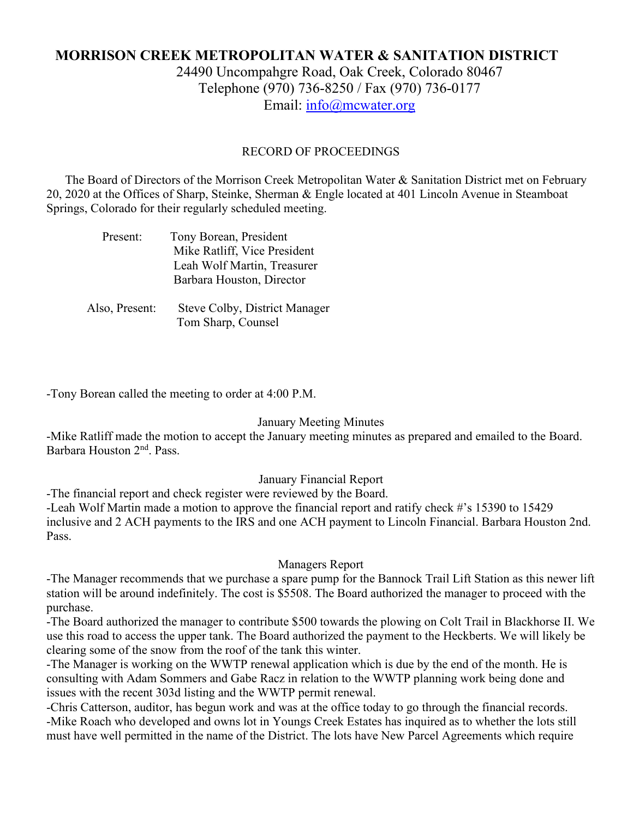# **MORRISON CREEK METROPOLITAN WATER & SANITATION DISTRICT**

24490 Uncompahgre Road, Oak Creek, Colorado 80467 Telephone (970) 736-8250 / Fax (970) 736-0177 Email: [info@mcwater.org](mailto:info@mcwater.org)

#### RECORD OF PROCEEDINGS

 The Board of Directors of the Morrison Creek Metropolitan Water & Sanitation District met on February 20, 2020 at the Offices of Sharp, Steinke, Sherman & Engle located at 401 Lincoln Avenue in Steamboat Springs, Colorado for their regularly scheduled meeting.

| Present: | Tony Borean, President       |
|----------|------------------------------|
|          | Mike Ratliff, Vice President |
|          | Leah Wolf Martin, Treasurer  |
|          | Barbara Houston, Director    |
|          |                              |
|          |                              |

 Also, Present: Steve Colby, District Manager Tom Sharp, Counsel

-Tony Borean called the meeting to order at 4:00 P.M.

#### January Meeting Minutes

-Mike Ratliff made the motion to accept the January meeting minutes as prepared and emailed to the Board. Barbara Houston 2nd. Pass.

#### January Financial Report

-The financial report and check register were reviewed by the Board.

-Leah Wolf Martin made a motion to approve the financial report and ratify check #'s 15390 to 15429 inclusive and 2 ACH payments to the IRS and one ACH payment to Lincoln Financial. Barbara Houston 2nd. Pass.

#### Managers Report

-The Manager recommends that we purchase a spare pump for the Bannock Trail Lift Station as this newer lift station will be around indefinitely. The cost is \$5508. The Board authorized the manager to proceed with the purchase.

-The Board authorized the manager to contribute \$500 towards the plowing on Colt Trail in Blackhorse II. We use this road to access the upper tank. The Board authorized the payment to the Heckberts. We will likely be clearing some of the snow from the roof of the tank this winter.

-The Manager is working on the WWTP renewal application which is due by the end of the month. He is consulting with Adam Sommers and Gabe Racz in relation to the WWTP planning work being done and issues with the recent 303d listing and the WWTP permit renewal.

-Chris Catterson, auditor, has begun work and was at the office today to go through the financial records. -Mike Roach who developed and owns lot in Youngs Creek Estates has inquired as to whether the lots still must have well permitted in the name of the District. The lots have New Parcel Agreements which require